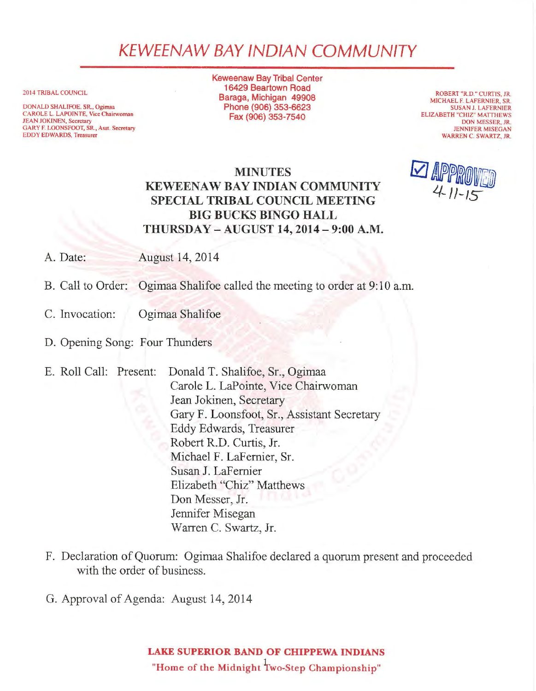## KEWEENAW BAY IND/AN COMMUNITY

2014 TRIBAL COUNCIL

DONALD SHALIFOE. SR., Ogimaa CAROLE L. LAPOINTE, Vice Chairwoman JEAN JOKINEN, Secretary GARY F. LOONSFOOT, SR., Asst. Secretary EDDY EDWARDS, Treasurer

Keweenaw Bay Tribal Center 16429 Beartown Road Baraga, Michigan 49908 Phone (906) 353-6623 Fax (906) 353-7540

ROBERT "R.D." CURTIS, JR. MICHAEL F. LAFERNIER, SR. SUSAN J. LAFERNIER ELIZABETH "CHIZ" MATTHEWS DON MESSER, JR. JENNIFER MISEGAN WARREN C. SWARTZ, JR.

## MINUTES KEWEENAW BAY INDIAN COMMUNITY SPECIAL TRIBAL COUNCIL MEETING BIG BUCKS BINGO HALL THURSDAY - AUGUST 14, 2014 - 9:00 A.M.

A. Date: August 14, 2014

B. Call to Order: Ogimaa Shalifoe called the meeting to order at 9:10 a.m.

- C. Invocation: Ogimaa Shalifoe
- D. Opening Song: Four Thunders
- E. Roll Call: Present: Donald T. Shalifoe, Sr., Ogimaa Carole L. LaPointe, Vice Chairwoman Jean Jokinen, Secretary Gary F. Loonsfoot, Sr., Assistant Secretary Eddy Edwards, Treasurer Robert R.D. Curtis, Jr. Michael F. LaFemier, Sr. Susan J. LaFemier Elizabeth "Chiz" Matthews Don Messer, Jr. Jennifer Misegan Warren C. Swartz, Jr.
- F. Declaration of Quorum: Ogimaa Shalifoe declared a quorum present and proceeded with the order of business.
- G. Approval of Agenda: August 14, 2014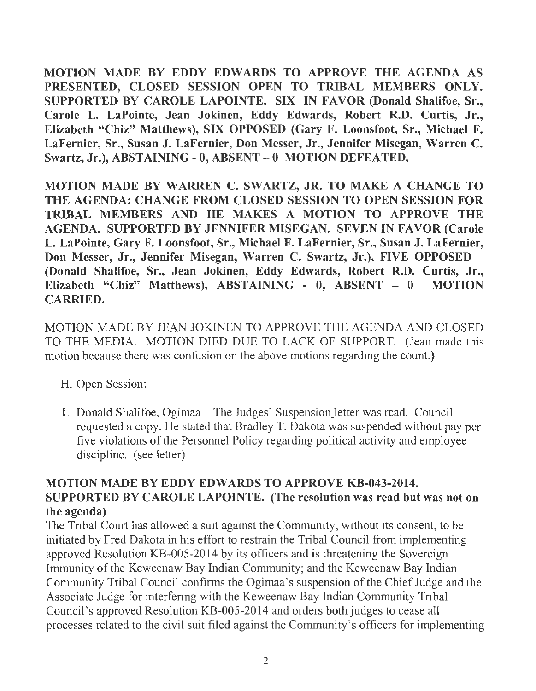MOTION MADE BY EDDY EDWARDS TO APPROVE THE AGENDA AS PRESENTED, CLOSED SESSION OPEN TO TRIBAL MEMBERS ONLY. SUPPORTED BY CAROLE LAPOINTE. SIX IN FAVOR (Donald Shalifoe, Sr., Carole L. LaPointe, Jean Jokinen, Eddy Edwards, Robert R.D. Curtis, Jr., Elizabeth "Chiz" Matthews), SIX OPPOSED (Gary F. Loonsfoot, Sr., Michael F. LaFernier, Sr., Susan J. LaFernier, Don Messer, Jr., Jennifer Misegan, Warren C. Swartz, Jr.), ABSTAINING- 0, ABSENT - 0 MOTION DEFEATED.

MOTION MADE BY WARREN C. SWARTZ, JR. TO MAKE A CHANGE TO THE AGENDA: CHANGE FROM CLOSED SESSION TO OPEN SESSION FOR TRIBAL MEMBERS AND HE MAKES A MOTION TO APPROVE THE AGENDA. SUPPORTED BY JENNIFER MISEGAN. SEVEN IN FAVOR (Carole L. LaPointe, Gary F. Loonsfoot, Sr., Michael F. LaFernier, Sr., Susan J. LaFernier, Don Messer, Jr., Jennifer Misegan, Warren C. Swartz, Jr.), FIVE OPPOSED - (Donald Shalifoe, Sr., Jean Jokinen, Eddy Edwards, Robert R.D. Curtis, Jr., Elizabeth "Chiz" Matthews), ABSTAINING - 0, ABSENT - 0 MOTION CARRIED.

MOTION MADE BY JEAN JOKINEN TO APPROVE THE AGENDA AND CLOSED TO THE MEDIA. MOTION DIED DUE TO LACK OF SUPPORT. (Jean made this motion because there was confusion on the above motions regarding the count.)

- H. Open Session:
- 1. Donald Shalifoe, Ogimaa The Judges' Suspension\_letter was read. Council requested a copy. He stated that Bradley T. Dakota was suspended without pay per five violations of the Personnel Policy regarding political activity and employee discipline. (see letter)

## MOTION MADE BY EDDY EDWARDS TO APPROVE KB-043-2014. SUPPORTED BY CAROLE LAPOINTE. (The resolution was read but was not on the agenda)

The Tribal Court has allowed a suit against the Community, without its consent, to be initiated by Fred Dakota in his effort to restrain the Tribal Council from implementing approved Resolution KB-005-2014 by its officers and is threatening the Sovereign Immunity of the Keweenaw Bay Indian Community; and the Keweenaw Bay Indian Community Tribal Council confirms the Ogimaa's suspension of the Chief Judge and the Associate Judge for interfering with the Keweenaw Bay Indian Community Tribal Council's approved Resolution KB-005-2014 and orders both judges to cease all processes related to the civil suit filed against the Community's officers for implementing